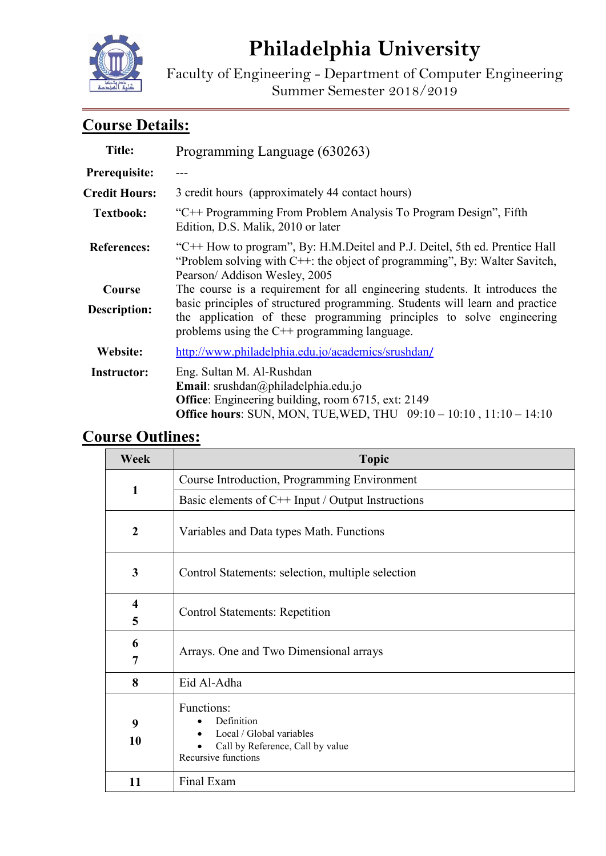

# **Philadelphia University**

Faculty of Engineering - Department of Computer Engineering Summer Semester 2018/2019

## **Course Details:**

| <b>Title:</b>        | Programming Language (630263)                                                                                                                                                                             |  |
|----------------------|-----------------------------------------------------------------------------------------------------------------------------------------------------------------------------------------------------------|--|
| Prerequisite:        |                                                                                                                                                                                                           |  |
| <b>Credit Hours:</b> | 3 credit hours (approximately 44 contact hours)                                                                                                                                                           |  |
| <b>Textbook:</b>     | "C++ Programming From Problem Analysis To Program Design", Fifth<br>Edition, D.S. Malik, 2010 or later                                                                                                    |  |
| <b>References:</b>   | "C++ How to program", By: H.M.Deitel and P.J. Deitel, 5th ed. Prentice Hall<br>"Problem solving with $C++$ : the object of programming", By: Walter Savitch,<br>Pearson/ Addison Wesley, 2005             |  |
| Course               | The course is a requirement for all engineering students. It introduces the                                                                                                                               |  |
| <b>Description:</b>  | basic principles of structured programming. Students will learn and practice<br>the application of these programming principles to solve engineering<br>problems using the $C^{++}$ programming language. |  |
| Website:             | http://www.philadelphia.edu.jo/academics/srushdan/                                                                                                                                                        |  |
| <b>Instructor:</b>   | Eng. Sultan M. Al-Rushdan<br>Email: srushdan@philadelphia.edu.jo<br>Office: Engineering building, room 6715, ext: 2149<br><b>Office hours:</b> SUN, MON, TUE, WED, THU 09:10 - 10:10, 11:10 - 14:10       |  |

## **Course Outlines:**

| Week             | <b>Topic</b>                                                                                                    |  |  |
|------------------|-----------------------------------------------------------------------------------------------------------------|--|--|
| $\mathbf{1}$     | Course Introduction, Programming Environment                                                                    |  |  |
|                  | Basic elements of $C++$ Input / Output Instructions                                                             |  |  |
| $\boldsymbol{2}$ | Variables and Data types Math. Functions                                                                        |  |  |
| 3                | Control Statements: selection, multiple selection                                                               |  |  |
| 4<br>5           | <b>Control Statements: Repetition</b>                                                                           |  |  |
| 6<br>7           | Arrays. One and Two Dimensional arrays                                                                          |  |  |
| 8                | Eid Al-Adha                                                                                                     |  |  |
| 9<br>10          | Functions:<br>Definition<br>Local / Global variables<br>Call by Reference, Call by value<br>Recursive functions |  |  |
| 11               | Final Exam                                                                                                      |  |  |